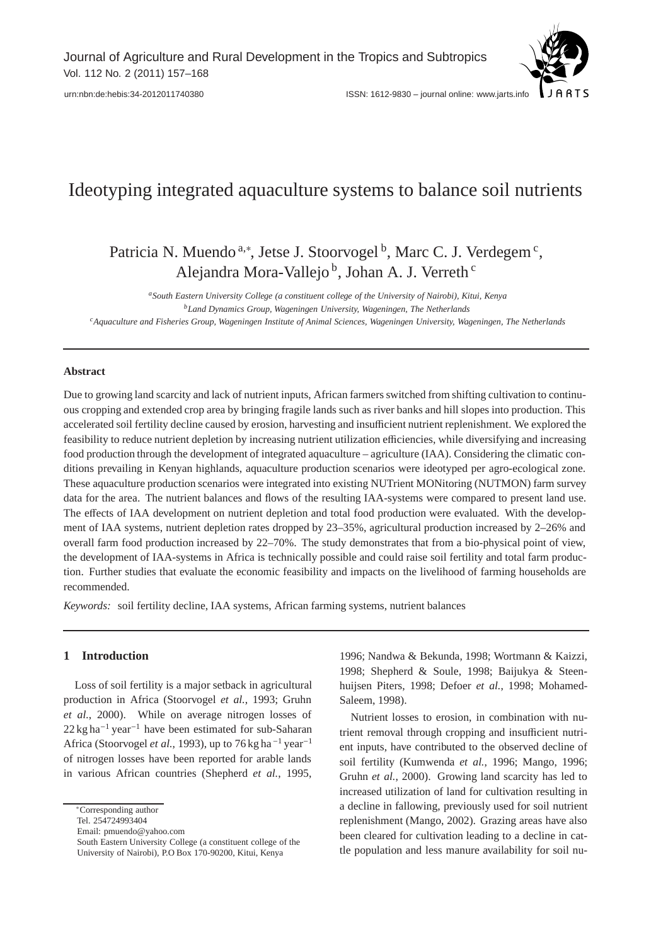

[urn:nbn:de:hebis:34-2012011740380](http://nbn-resolving.de/urn:nbn:de:hebis:34-2012011740380) ISSN: 1612-9830 – journal online: www.jarts.info

# Ideotyping integrated aquaculture systems to balance soil nutrients

Patricia N. Muendo<sup>a,\*</sup>, Jetse J. Stoorvogel<sup>b</sup>, Marc C. J. Verdegem<sup>c</sup>, Alejandra Mora-Vallejo<sup>b</sup>, Johan A. J. Verreth<sup>c</sup>

*aSouth Eastern University College (a constituent college of the University of Nairobi), Kitui, Kenya bLand Dynamics Group, Wageningen University, Wageningen, The Netherlands cAquaculture and Fisheries Group, Wageningen Institute of Animal Sciences, Wageningen University, Wageningen, The Netherlands*

## **Abstract**

Due to growing land scarcity and lack of nutrient inputs, African farmers switched from shifting cultivation to continuous cropping and extended crop area by bringing fragile lands such as river banks and hill slopes into production. This accelerated soil fertility decline caused by erosion, harvesting and insufficient nutrient replenishment. We explored the feasibility to reduce nutrient depletion by increasing nutrient utilization efficiencies, while diversifying and increasing food production through the development of integrated aquaculture – agriculture (IAA). Considering the climatic conditions prevailing in Kenyan highlands, aquaculture production scenarios were ideotyped per agro-ecological zone. These aquaculture production scenarios were integrated into existing NUTrient MONitoring (NUTMON) farm survey data for the area. The nutrient balances and flows of the resulting IAA-systems were compared to present land use. The effects of IAA development on nutrient depletion and total food production were evaluated. With the development of IAA systems, nutrient depletion rates dropped by 23–35%, agricultural production increased by 2–26% and overall farm food production increased by 22–70%. The study demonstrates that from a bio-physical point of view, the development of IAA-systems in Africa is technically possible and could raise soil fertility and total farm production. Further studies that evaluate the economic feasibility and impacts on the livelihood of farming households are recommended.

*Keywords:* soil fertility decline, IAA systems, African farming systems, nutrient balances

# **1 Introduction**

Loss of soil fertility is a major setback in agricultural production in Africa (Stoorvogel *et al.*, 1993; Gruhn *et al.*, 2000). While on average nitrogen losses of  $22 \text{ kg ha}^{-1}$  year<sup>-1</sup> have been estimated for sub-Saharan Africa (Stoorvogel *et al.*, 1993), up to 76 kg ha<sup> $-1$ </sup> year<sup>-1</sup> of nitrogen losses have been reported for arable lands in various African countries (Shepherd *et al.*, 1995,

Tel. 254724993404

Email: pmuendo@yahoo.com

1996; Nandwa & Bekunda, 1998; Wortmann & Kaizzi, 1998; Shepherd & Soule, 1998; Baijukya & Steenhuijsen Piters, 1998; Defoer *et al.*, 1998; Mohamed-Saleem, 1998).

Nutrient losses to erosion, in combination with nutrient removal through cropping and insufficient nutrient inputs, have contributed to the observed decline of soil fertility (Kumwenda *et al.*, 1996; Mango, 1996; Gruhn *et al.*, 2000). Growing land scarcity has led to increased utilization of land for cultivation resulting in a decline in fallowing, previously used for soil nutrient replenishment (Mango, 2002). Grazing areas have also been cleared for cultivation leading to a decline in cattle population and less manure availability for soil nu-

<sup>∗</sup>Corresponding author

South Eastern University College (a constituent college of the University of Nairobi), P.O Box 170-90200, Kitui, Kenya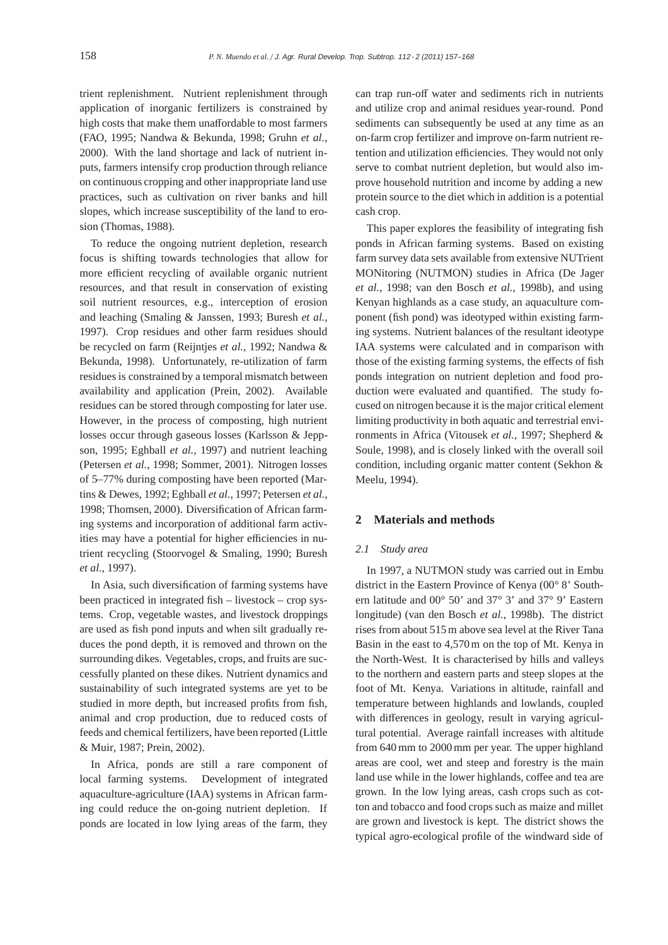trient replenishment. Nutrient replenishment through application of inorganic fertilizers is constrained by high costs that make them unaffordable to most farmers (FAO, 1995; Nandwa & Bekunda, 1998; Gruhn *et al.*, 2000). With the land shortage and lack of nutrient inputs, farmers intensify crop production through reliance on continuous cropping and other inappropriate land use practices, such as cultivation on river banks and hill slopes, which increase susceptibility of the land to erosion (Thomas, 1988).

To reduce the ongoing nutrient depletion, research focus is shifting towards technologies that allow for more efficient recycling of available organic nutrient resources, and that result in conservation of existing soil nutrient resources, e.g., interception of erosion and leaching (Smaling & Janssen, 1993; Buresh *et al.*, 1997). Crop residues and other farm residues should be recycled on farm (Reijntjes *et al.*, 1992; Nandwa & Bekunda, 1998). Unfortunately, re-utilization of farm residues is constrained by a temporal mismatch between availability and application (Prein, 2002). Available residues can be stored through composting for later use. However, in the process of composting, high nutrient losses occur through gaseous losses (Karlsson & Jeppson, 1995; Eghball *et al.*, 1997) and nutrient leaching (Petersen *et al.*, 1998; Sommer, 2001). Nitrogen losses of 5–77% during composting have been reported (Martins & Dewes, 1992; Eghball *et al.*, 1997; Petersen *et al.*, 1998; Thomsen, 2000). Diversification of African farming systems and incorporation of additional farm activities may have a potential for higher efficiencies in nutrient recycling (Stoorvogel & Smaling, 1990; Buresh *et al.*, 1997).

In Asia, such diversification of farming systems have been practiced in integrated fish – livestock – crop systems. Crop, vegetable wastes, and livestock droppings are used as fish pond inputs and when silt gradually reduces the pond depth, it is removed and thrown on the surrounding dikes. Vegetables, crops, and fruits are successfully planted on these dikes. Nutrient dynamics and sustainability of such integrated systems are yet to be studied in more depth, but increased profits from fish, animal and crop production, due to reduced costs of feeds and chemical fertilizers, have been reported (Little & Muir, 1987; Prein, 2002).

In Africa, ponds are still a rare component of local farming systems. Development of integrated aquaculture-agriculture (IAA) systems in African farming could reduce the on-going nutrient depletion. If ponds are located in low lying areas of the farm, they

can trap run-off water and sediments rich in nutrients and utilize crop and animal residues year-round. Pond sediments can subsequently be used at any time as an on-farm crop fertilizer and improve on-farm nutrient retention and utilization efficiencies. They would not only serve to combat nutrient depletion, but would also improve household nutrition and income by adding a new protein source to the diet which in addition is a potential cash crop.

This paper explores the feasibility of integrating fish ponds in African farming systems. Based on existing farm survey data sets available from extensive NUTrient MONitoring (NUTMON) studies in Africa (De Jager *et al.*, 1998; van den Bosch *et al.*, 1998b), and using Kenyan highlands as a case study, an aquaculture component (fish pond) was ideotyped within existing farming systems. Nutrient balances of the resultant ideotype IAA systems were calculated and in comparison with those of the existing farming systems, the effects of fish ponds integration on nutrient depletion and food production were evaluated and quantified. The study focused on nitrogen because it is the major critical element limiting productivity in both aquatic and terrestrial environments in Africa (Vitousek *et al.*, 1997; Shepherd & Soule, 1998), and is closely linked with the overall soil condition, including organic matter content (Sekhon & Meelu, 1994).

# **2 Materials and methods**

## *2.1 Study area*

In 1997, a NUTMON study was carried out in Embu district in the Eastern Province of Kenya (00° 8' Southern latitude and 00° 50' and 37° 3' and 37° 9' Eastern longitude) (van den Bosch *et al.*, 1998b). The district rises from about 515 m above sea level at the River Tana Basin in the east to 4,570 m on the top of Mt. Kenya in the North-West. It is characterised by hills and valleys to the northern and eastern parts and steep slopes at the foot of Mt. Kenya. Variations in altitude, rainfall and temperature between highlands and lowlands, coupled with differences in geology, result in varying agricultural potential. Average rainfall increases with altitude from 640 mm to 2000 mm per year. The upper highland areas are cool, wet and steep and forestry is the main land use while in the lower highlands, coffee and tea are grown. In the low lying areas, cash crops such as cotton and tobacco and food crops such as maize and millet are grown and livestock is kept. The district shows the typical agro-ecological profile of the windward side of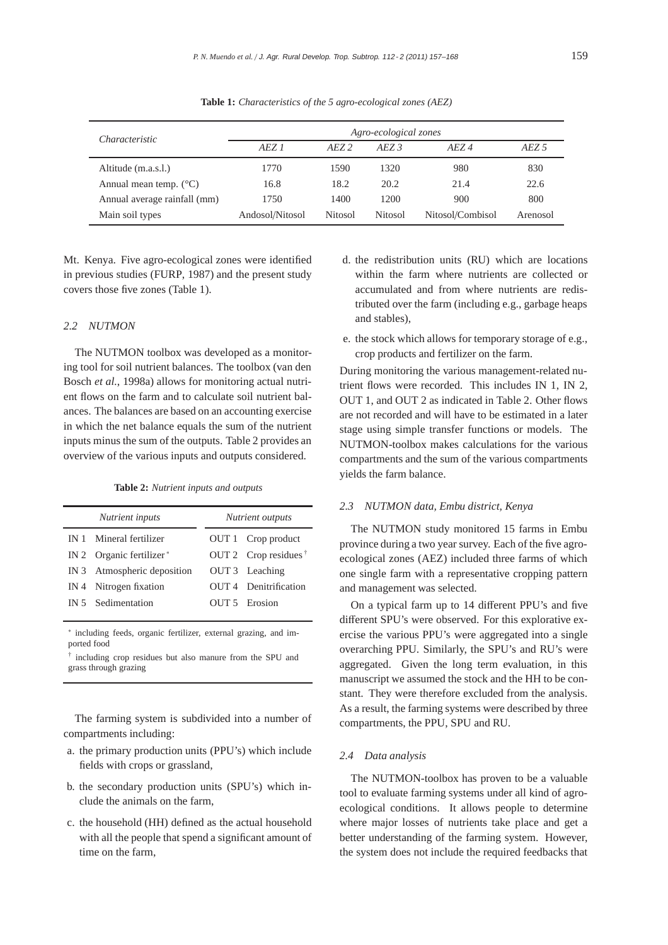| Characteristic                  | Agro-ecological zones |                |                   |                  |          |  |  |  |  |  |
|---------------------------------|-----------------------|----------------|-------------------|------------------|----------|--|--|--|--|--|
|                                 | AEZ 1                 | AEZ2           | $A$ <i>EZ</i> $3$ | AEZ4             | AEZ 5    |  |  |  |  |  |
| Altitude (m.a.s.l.)             | 1770                  | 1590           | 1320              | 980              | 830      |  |  |  |  |  |
| Annual mean temp. $(^{\circ}C)$ | 16.8                  | 18.2           | 20.2              | 21.4             | 22.6     |  |  |  |  |  |
| Annual average rainfall (mm)    | 1750                  | 1400           | 1200              | 900              | 800      |  |  |  |  |  |
| Main soil types                 | Andosol/Nitosol       | <b>Nitosol</b> | <b>Nitosol</b>    | Nitosol/Combisol | Arenosol |  |  |  |  |  |

**Table 1:** *Characteristics of the 5 agro-ecological zones (AEZ)*

Mt. Kenya. Five agro-ecological zones were identified in previous studies (FURP, 1987) and the present study covers those five zones (Table 1).

# *2.2 NUTMON*

The NUTMON toolbox was developed as a monitoring tool for soil nutrient balances. The toolbox (van den Bosch *et al.*, 1998a) allows for monitoring actual nutrient flows on the farm and to calculate soil nutrient balances. The balances are based on an accounting exercise in which the net balance equals the sum of the nutrient inputs minus the sum of the outputs. Table 2 provides an overview of the various inputs and outputs considered.

| Nutrient inputs                      | Nutrient outputs |                               |  |  |  |  |  |
|--------------------------------------|------------------|-------------------------------|--|--|--|--|--|
| IN 1 Mineral fertilizer              |                  | OUT 1 Crop product            |  |  |  |  |  |
| IN 2 Organic fertilizer <sup>*</sup> |                  | OUT 2 Crop residues $\dagger$ |  |  |  |  |  |
| IN 3 Atmospheric deposition          |                  | OUT 3 Leaching                |  |  |  |  |  |
| IN 4 Nitrogen fixation               |                  | OUT 4 Denitrification         |  |  |  |  |  |
| IN 5 Sedimentation                   |                  | OUT 5 Erosion                 |  |  |  |  |  |

∗ including feeds, organic fertilizer, external grazing, and imported food

† including crop residues but also manure from the SPU and grass through grazing

The farming system is subdivided into a number of compartments including:

- a. the primary production units (PPU's) which include fields with crops or grassland,
- b. the secondary production units (SPU's) which include the animals on the farm,
- c. the household (HH) defined as the actual household with all the people that spend a significant amount of time on the farm,
- d. the redistribution units (RU) which are locations within the farm where nutrients are collected or accumulated and from where nutrients are redistributed over the farm (including e.g., garbage heaps and stables),
- e. the stock which allows for temporary storage of e.g., crop products and fertilizer on the farm.

During monitoring the various management-related nutrient flows were recorded. This includes IN 1, IN 2, OUT 1, and OUT 2 as indicated in Table 2. Other flows are not recorded and will have to be estimated in a later stage using simple transfer functions or models. The NUTMON-toolbox makes calculations for the various compartments and the sum of the various compartments yields the farm balance.

#### *2.3 NUTMON data, Embu district, Kenya*

The NUTMON study monitored 15 farms in Embu province during a two year survey. Each of the five agroecological zones (AEZ) included three farms of which one single farm with a representative cropping pattern and management was selected.

On a typical farm up to 14 different PPU's and five different SPU's were observed. For this explorative exercise the various PPU's were aggregated into a single overarching PPU. Similarly, the SPU's and RU's were aggregated. Given the long term evaluation, in this manuscript we assumed the stock and the HH to be constant. They were therefore excluded from the analysis. As a result, the farming systems were described by three compartments, the PPU, SPU and RU.

## *2.4 Data analysis*

The NUTMON-toolbox has proven to be a valuable tool to evaluate farming systems under all kind of agroecological conditions. It allows people to determine where major losses of nutrients take place and get a better understanding of the farming system. However, the system does not include the required feedbacks that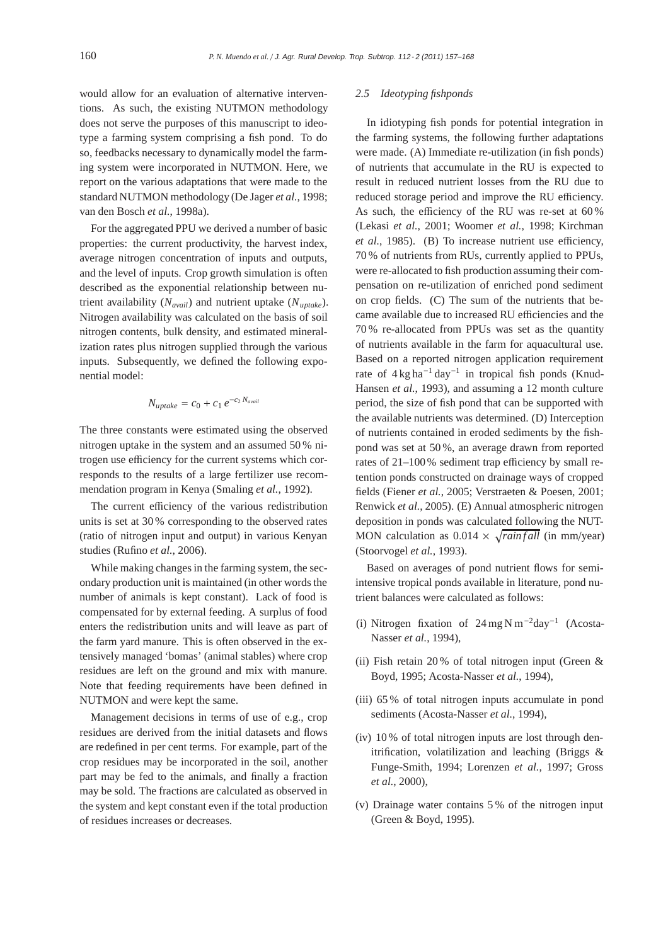would allow for an evaluation of alternative interventions. As such, the existing NUTMON methodology does not serve the purposes of this manuscript to ideotype a farming system comprising a fish pond. To do so, feedbacks necessary to dynamically model the farming system were incorporated in NUTMON. Here, we report on the various adaptations that were made to the standard NUTMON methodology (De Jager *et al.*, 1998; van den Bosch *et al.*, 1998a).

For the aggregated PPU we derived a number of basic properties: the current productivity, the harvest index, average nitrogen concentration of inputs and outputs, and the level of inputs. Crop growth simulation is often described as the exponential relationship between nutrient availability (*Navail*) and nutrient uptake (*Nuptake*). Nitrogen availability was calculated on the basis of soil nitrogen contents, bulk density, and estimated mineralization rates plus nitrogen supplied through the various inputs. Subsequently, we defined the following exponential model:

$$
N_{uptake} = c_0 + c_1 e^{-c_2 N_{avail}}
$$

The three constants were estimated using the observed nitrogen uptake in the system and an assumed 50 % nitrogen use efficiency for the current systems which corresponds to the results of a large fertilizer use recommendation program in Kenya (Smaling *et al.*, 1992).

The current efficiency of the various redistribution units is set at 30 % corresponding to the observed rates (ratio of nitrogen input and output) in various Kenyan studies (Rufino *et al.*, 2006).

While making changes in the farming system, the secondary production unit is maintained (in other words the number of animals is kept constant). Lack of food is compensated for by external feeding. A surplus of food enters the redistribution units and will leave as part of the farm yard manure. This is often observed in the extensively managed 'bomas' (animal stables) where crop residues are left on the ground and mix with manure. Note that feeding requirements have been defined in NUTMON and were kept the same.

Management decisions in terms of use of e.g., crop residues are derived from the initial datasets and flows are redefined in per cent terms. For example, part of the crop residues may be incorporated in the soil, another part may be fed to the animals, and finally a fraction may be sold. The fractions are calculated as observed in the system and kept constant even if the total production of residues increases or decreases.

## *2.5 Ideotyping fishponds*

In idiotyping fish ponds for potential integration in the farming systems, the following further adaptations were made. (A) Immediate re-utilization (in fish ponds) of nutrients that accumulate in the RU is expected to result in reduced nutrient losses from the RU due to reduced storage period and improve the RU efficiency. As such, the efficiency of the RU was re-set at 60 % (Lekasi *et al.*, 2001; Woomer *et al.*, 1998; Kirchman *et al.*, 1985). (B) To increase nutrient use efficiency, 70 % of nutrients from RUs, currently applied to PPUs, were re-allocated to fish production assuming their compensation on re-utilization of enriched pond sediment on crop fields. (C) The sum of the nutrients that became available due to increased RU efficiencies and the 70 % re-allocated from PPUs was set as the quantity of nutrients available in the farm for aquacultural use. Based on a reported nitrogen application requirement rate of  $4 \text{ kg ha}^{-1}$  day<sup>-1</sup> in tropical fish ponds (Knud-Hansen *et al.*, 1993), and assuming a 12 month culture period, the size of fish pond that can be supported with the available nutrients was determined. (D) Interception of nutrients contained in eroded sediments by the fishpond was set at 50 %, an average drawn from reported rates of 21–100% sediment trap efficiency by small retention ponds constructed on drainage ways of cropped fields (Fiener *et al.*, 2005; Verstraeten & Poesen, 2001; Renwick *et al.*, 2005). (E) Annual atmospheric nitrogen deposition in ponds was calculated following the NUT-MON calculation as  $0.014 \times \sqrt{rainfall}$  (in mm/year) (Stoorvogel *et al.*, 1993).

Based on averages of pond nutrient flows for semiintensive tropical ponds available in literature, pond nutrient balances were calculated as follows:

- (i) Nitrogen fixation of  $24 \text{ mg N m}^{-2} \text{day}^{-1}$  (Acosta-Nasser *et al.*, 1994),
- (ii) Fish retain 20 % of total nitrogen input (Green & Boyd, 1995; Acosta-Nasser *et al.*, 1994),
- (iii) 65 % of total nitrogen inputs accumulate in pond sediments (Acosta-Nasser *et al.*, 1994),
- (iv) 10 % of total nitrogen inputs are lost through denitrification, volatilization and leaching (Briggs & Funge-Smith, 1994; Lorenzen *et al.*, 1997; Gross *et al.*, 2000),
- (v) Drainage water contains 5 % of the nitrogen input (Green & Boyd, 1995).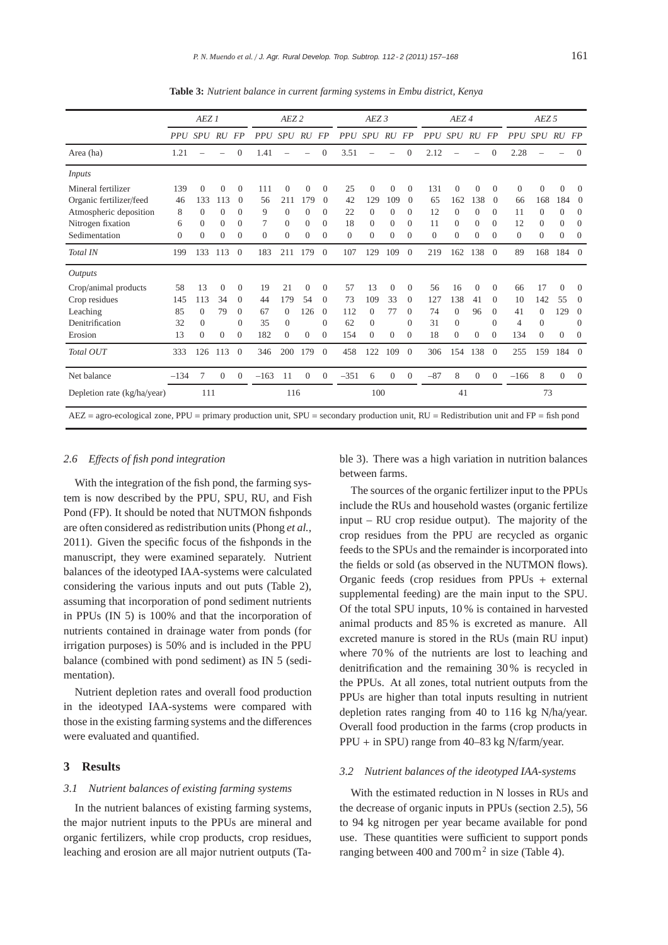|                                                                                                                                                      | AEZ <sub>1</sub> |          |                |                | AEZ <sub>2</sub> |                |                | AEZ3           |            |                |                | AEZ <sub>4</sub> |                 |                |          | AEZ <sub>5</sub> |                |                |                |                |
|------------------------------------------------------------------------------------------------------------------------------------------------------|------------------|----------|----------------|----------------|------------------|----------------|----------------|----------------|------------|----------------|----------------|------------------|-----------------|----------------|----------|------------------|----------------|----------------|----------------|----------------|
|                                                                                                                                                      |                  | PPU SPU  | RU             | <b>FP</b>      | <i>PPU</i>       | <b>SPU</b>     | RU             | FP             | <b>PPU</b> | <i>SPU</i>     | RU             | FP               | PP <sub>U</sub> | SPU            | RU       | FP               | PPU SPU RU     |                |                | <b>FP</b>      |
| Area (ha)                                                                                                                                            | 1.21             |          |                | $\Omega$       | 1.41             |                |                | $\Omega$       | 3.51       |                |                | $\Omega$         | 2.12            |                |          | $\Omega$         | 2.28           |                |                | $\Omega$       |
| Inputs                                                                                                                                               |                  |          |                |                |                  |                |                |                |            |                |                |                  |                 |                |          |                  |                |                |                |                |
| Mineral fertilizer                                                                                                                                   | 139              | $\Omega$ | $\Omega$       | $\Omega$       | 111              | $\Omega$       | $\Omega$       | $\Omega$       | 25         | $\Omega$       | $\Omega$       | $\Omega$         | 131             | $\theta$       | $\Omega$ | $\Omega$         | $\Omega$       | $\overline{0}$ | $\theta$       | $\Omega$       |
| Organic fertilizer/feed                                                                                                                              | 46               | 133      | 113            | $\theta$       | 56               | 211            | 179            | $\theta$       | 42         | 129            | 109            | $\theta$         | 65              | 162            | 138      | $\Omega$         | 66             | 168            | 184            | $\overline{0}$ |
| Atmospheric deposition                                                                                                                               | 8                | $\Omega$ | $\Omega$       | $\Omega$       | 9                | $\Omega$       | $\theta$       | $\Omega$       | 22         | $\Omega$       | $\theta$       | $\theta$         | 12              | $\Omega$       | $\Omega$ | $\Omega$         | 11             | $\Omega$       | $\Omega$       | $\Omega$       |
| Nitrogen fixation                                                                                                                                    | 6                | $\Omega$ | $\Omega$       | $\Omega$       | 7                | $\Omega$       | $\Omega$       | $\Omega$       | 18         | $\Omega$       | 0              | $\Omega$         | 11              | $\Omega$       | $\Omega$ | 0                | 12             | 0              | $\Omega$       | $\Omega$       |
| Sedimentation                                                                                                                                        | $\mathbf{0}$     | $\Omega$ | $\Omega$       | $\Omega$       | $\theta$         | $\overline{0}$ | $\theta$       | $\Omega$       | $\theta$   | $\overline{0}$ | $\overline{0}$ | $\Omega$         | $\overline{0}$  | $\overline{0}$ | $\Omega$ | $\Omega$         | $\overline{0}$ | $\overline{0}$ | $\mathbf{0}$   | $\theta$       |
| Total IN                                                                                                                                             | 199              | 133      | 113            | $\Omega$       | 183              | 211            | 179            | $\Omega$       | 107        | 129            | 109            | $\Omega$         | 219             | 162            | 138      | $\Omega$         | 89             | 168            | 184            | $\Omega$       |
| <i><u><b>Outputs</b></u></i>                                                                                                                         |                  |          |                |                |                  |                |                |                |            |                |                |                  |                 |                |          |                  |                |                |                |                |
| Crop/animal products                                                                                                                                 | 58               | 13       | $\Omega$       | $\Omega$       | 19               | 21             | $\theta$       | $\Omega$       | 57         | 13             | $\Omega$       | $\theta$         | 56              | 16             | $\Omega$ | $\Omega$         | 66             | 17             | $\theta$       | $\Omega$       |
| Crop residues                                                                                                                                        | 145              | 113      | 34             | $\theta$       | 44               | 179            | 54             | $\overline{0}$ | 73         | 109            | 33             | $\overline{0}$   | 127             | 138            | 41       | $\Omega$         | 10             | 142            | 55             | $\theta$       |
| Leaching                                                                                                                                             | 85               | $\Omega$ | 79             | $\Omega$       | 67               | $\Omega$       | 126            | $\Omega$       | 112        | $\Omega$       | 77             | $\Omega$         | 74              | $\Omega$       | 96       | $\Omega$         | 41             | $\Omega$       | 129            | $\Omega$       |
| Denitrification                                                                                                                                      | 32               | $\theta$ |                | $\Omega$       | 35               | $\overline{0}$ |                | $\Omega$       | 62         | $\mathbf{0}$   |                | $\Omega$         | 31              | $\mathbf{0}$   |          | $\Omega$         | 4              | $\overline{0}$ |                | $\Omega$       |
| Erosion                                                                                                                                              | 13               | $\Omega$ | $\overline{0}$ | $\Omega$       | 182              | $\Omega$       | $\mathbf{0}$   | $\Omega$       | 154        | $\Omega$       | $\overline{0}$ | $\Omega$         | 18              | $\overline{0}$ | $\Omega$ | $\Omega$         | 134            | $\overline{0}$ | $\Omega$       | $\Omega$       |
| Total OUT                                                                                                                                            | 333              | 126      | 113            | $\Omega$       | 346              | 200            | 179            | $\Omega$       | 458        | 122            | 109            | $\Omega$         | 306             | 154            | 138      | $\Omega$         | 255            | 159            | 184            | $\Omega$       |
| Net balance                                                                                                                                          | $-134$           | 7        | $\theta$       | $\overline{0}$ | $-163$           | 11             | $\overline{0}$ | $\mathbf{0}$   | $-351$     | 6              | $\overline{0}$ | $\overline{0}$   | $-87$           | 8              | $\Omega$ | $\Omega$         | $-166$         | 8              | $\overline{0}$ | $\overline{0}$ |
| Depletion rate (kg/ha/year)                                                                                                                          |                  | 111      |                |                |                  | 116            |                |                |            | 100            |                |                  |                 | 41             |          |                  |                | 73             |                |                |
| $AEZ = agro-ecological zone$ , $PPU = primary production unit$ , $SPU = secondary production unit$ , $RU = Redistribution unit$ and $FP = fish$ pond |                  |          |                |                |                  |                |                |                |            |                |                |                  |                 |                |          |                  |                |                |                |                |

**Table 3:** *Nutrient balance in current farming systems in Embu district, Kenya*

#### *2.6 E*ff*ects of fish pond integration*

With the integration of the fish pond, the farming system is now described by the PPU, SPU, RU, and Fish Pond (FP). It should be noted that NUTMON fishponds are often considered as redistribution units (Phong *et al.*, 2011). Given the specific focus of the fishponds in the manuscript, they were examined separately. Nutrient balances of the ideotyped IAA-systems were calculated considering the various inputs and out puts (Table 2), assuming that incorporation of pond sediment nutrients in PPUs (IN 5) is 100% and that the incorporation of nutrients contained in drainage water from ponds (for irrigation purposes) is 50% and is included in the PPU balance (combined with pond sediment) as IN 5 (sedimentation).

Nutrient depletion rates and overall food production in the ideotyped IAA-systems were compared with those in the existing farming systems and the differences were evaluated and quantified.

# **3 Results**

#### *3.1 Nutrient balances of existing farming systems*

In the nutrient balances of existing farming systems, the major nutrient inputs to the PPUs are mineral and organic fertilizers, while crop products, crop residues, leaching and erosion are all major nutrient outputs (Table 3). There was a high variation in nutrition balances between farms.

The sources of the organic fertilizer input to the PPUs include the RUs and household wastes (organic fertilize input – RU crop residue output). The majority of the crop residues from the PPU are recycled as organic feeds to the SPUs and the remainder is incorporated into the fields or sold (as observed in the NUTMON flows). Organic feeds (crop residues from PPUs + external supplemental feeding) are the main input to the SPU. Of the total SPU inputs, 10 % is contained in harvested animal products and 85 % is excreted as manure. All excreted manure is stored in the RUs (main RU input) where 70 % of the nutrients are lost to leaching and denitrification and the remaining 30 % is recycled in the PPUs. At all zones, total nutrient outputs from the PPUs are higher than total inputs resulting in nutrient depletion rates ranging from 40 to 116 kg N/ha/year. Overall food production in the farms (crop products in PPU + in SPU) range from 40–83 kg N/farm/year.

## *3.2 Nutrient balances of the ideotyped IAA-systems*

With the estimated reduction in N losses in RUs and the decrease of organic inputs in PPUs (section 2.5), 56 to 94 kg nitrogen per year became available for pond use. These quantities were sufficient to support ponds ranging between 400 and  $700 \text{ m}^2$  in size (Table 4).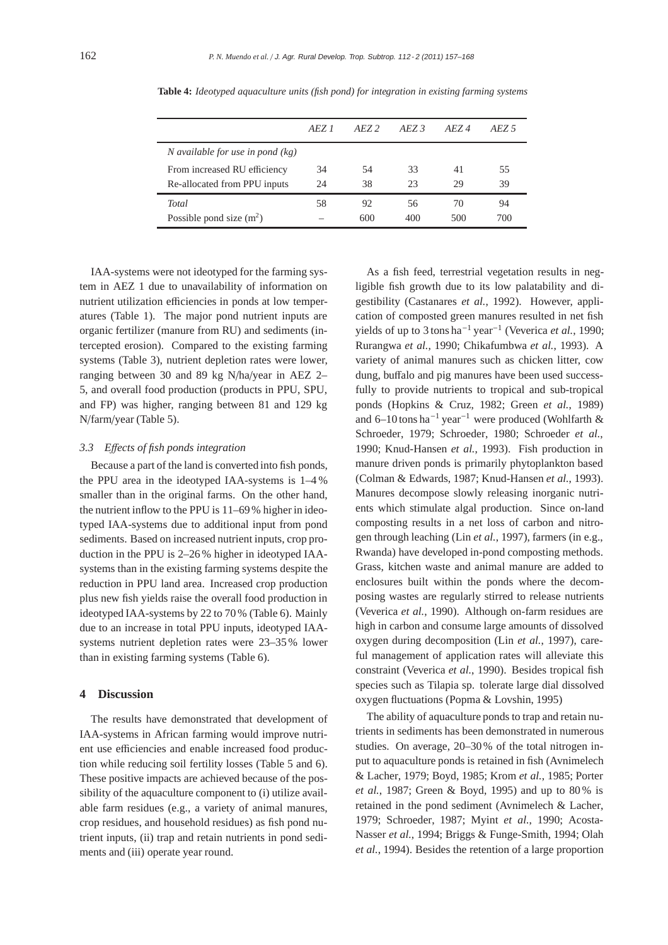|                                    | <i>AEZ 1</i> | $A$ <i>F.Z.</i> 2 | $A$ <i>FZ</i> 3 | $A$ <i>F.Z.</i> 4 | $A$ <i>FZ</i> 5 |
|------------------------------------|--------------|-------------------|-----------------|-------------------|-----------------|
| N available for use in pond $(kg)$ |              |                   |                 |                   |                 |
| From increased RU efficiency       | 34           | 54                | 33              | 41                | 55              |
| Re-allocated from PPU inputs       | 24           | 38                | 23              | 29                | 39              |
| <b>Total</b>                       | 58           | 92                | 56              | 70                | 94              |
| Possible pond size $(m^2)$         |              | 600               | 400             | 500               | 700             |

**Table 4:** *Ideotyped aquaculture units (fish pond) for integration in existing farming systems*

IAA-systems were not ideotyped for the farming system in AEZ 1 due to unavailability of information on nutrient utilization efficiencies in ponds at low temperatures (Table 1). The major pond nutrient inputs are organic fertilizer (manure from RU) and sediments (intercepted erosion). Compared to the existing farming systems (Table 3), nutrient depletion rates were lower, ranging between 30 and 89 kg N/ha/year in AEZ 2– 5, and overall food production (products in PPU, SPU, and FP) was higher, ranging between 81 and 129 kg N/farm/year (Table 5).

## *3.3 E*ff*ects of fish ponds integration*

Because a part of the land is converted into fish ponds, the PPU area in the ideotyped IAA-systems is 1–4 % smaller than in the original farms. On the other hand, the nutrient inflow to the PPU is 11–69% higher in ideotyped IAA-systems due to additional input from pond sediments. Based on increased nutrient inputs, crop production in the PPU is 2–26 % higher in ideotyped IAAsystems than in the existing farming systems despite the reduction in PPU land area. Increased crop production plus new fish yields raise the overall food production in ideotyped IAA-systems by 22 to 70 % (Table 6). Mainly due to an increase in total PPU inputs, ideotyped IAAsystems nutrient depletion rates were 23–35% lower than in existing farming systems (Table 6).

# **4 Discussion**

The results have demonstrated that development of IAA-systems in African farming would improve nutrient use efficiencies and enable increased food production while reducing soil fertility losses (Table 5 and 6). These positive impacts are achieved because of the possibility of the aquaculture component to (i) utilize available farm residues (e.g., a variety of animal manures, crop residues, and household residues) as fish pond nutrient inputs, (ii) trap and retain nutrients in pond sediments and (iii) operate year round.

As a fish feed, terrestrial vegetation results in negligible fish growth due to its low palatability and digestibility (Castanares *et al.*, 1992). However, application of composted green manures resulted in net fish yields of up to 3 tons ha−<sup>1</sup> year−<sup>1</sup> (Veverica *et al.*, 1990; Rurangwa *et al.*, 1990; Chikafumbwa *et al.*, 1993). A variety of animal manures such as chicken litter, cow dung, buffalo and pig manures have been used successfully to provide nutrients to tropical and sub-tropical ponds (Hopkins & Cruz, 1982; Green *et al.*, 1989) and 6–10 tons ha−<sup>1</sup> year−<sup>1</sup> were produced (Wohlfarth & Schroeder, 1979; Schroeder, 1980; Schroeder *et al.*, 1990; Knud-Hansen *et al.*, 1993). Fish production in manure driven ponds is primarily phytoplankton based (Colman & Edwards, 1987; Knud-Hansen *et al.*, 1993). Manures decompose slowly releasing inorganic nutrients which stimulate algal production. Since on-land composting results in a net loss of carbon and nitrogen through leaching (Lin *et al.*, 1997), farmers (in e.g., Rwanda) have developed in-pond composting methods. Grass, kitchen waste and animal manure are added to enclosures built within the ponds where the decomposing wastes are regularly stirred to release nutrients (Veverica *et al.*, 1990). Although on-farm residues are high in carbon and consume large amounts of dissolved oxygen during decomposition (Lin *et al.*, 1997), careful management of application rates will alleviate this constraint (Veverica *et al.*, 1990). Besides tropical fish species such as Tilapia sp. tolerate large dial dissolved oxygen fluctuations (Popma & Lovshin, 1995)

The ability of aquaculture ponds to trap and retain nutrients in sediments has been demonstrated in numerous studies. On average, 20–30% of the total nitrogen input to aquaculture ponds is retained in fish (Avnimelech & Lacher, 1979; Boyd, 1985; Krom *et al.*, 1985; Porter *et al.*, 1987; Green & Boyd, 1995) and up to 80 % is retained in the pond sediment (Avnimelech & Lacher, 1979; Schroeder, 1987; Myint *et al.*, 1990; Acosta-Nasser *et al.*, 1994; Briggs & Funge-Smith, 1994; Olah *et al.*, 1994). Besides the retention of a large proportion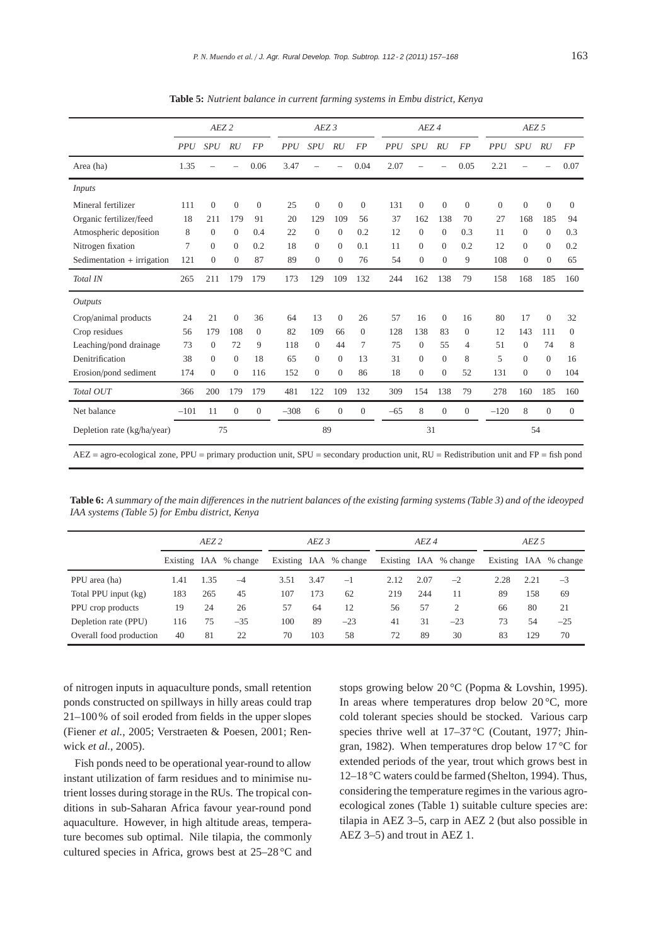|                                                                                                                                            | AEZ <sub>2</sub> |                |                |              | $AEZ$ 3    |                |                |                |            | AEZ <sub>4</sub> |                |                | AEZ <sub>5</sub> |                |                |                |  |
|--------------------------------------------------------------------------------------------------------------------------------------------|------------------|----------------|----------------|--------------|------------|----------------|----------------|----------------|------------|------------------|----------------|----------------|------------------|----------------|----------------|----------------|--|
|                                                                                                                                            | <b>PPU</b>       | <b>SPU</b>     | <b>RU</b>      | <b>FP</b>    | <b>PPU</b> | <b>SPU</b>     | RU             | <b>FP</b>      | <b>PPU</b> | <b>SPU</b>       | RU             | <b>FP</b>      | <b>PPU</b>       | SPU            | RU             | <b>FP</b>      |  |
| Area (ha)                                                                                                                                  | 1.35             |                |                | 0.06         | 3.47       |                |                | 0.04           | 2.07       |                  |                | 0.05           | 2.21             |                |                | 0.07           |  |
| Inputs                                                                                                                                     |                  |                |                |              |            |                |                |                |            |                  |                |                |                  |                |                |                |  |
| Mineral fertilizer                                                                                                                         | 111              | $\overline{0}$ | $\overline{0}$ | $\theta$     | 25         | $\mathbf{0}$   | $\overline{0}$ | $\overline{0}$ | 131        | $\overline{0}$   | $\overline{0}$ | $\mathbf{0}$   | $\mathbf{0}$     | $\overline{0}$ | $\overline{0}$ | $\overline{0}$ |  |
| Organic fertilizer/feed                                                                                                                    | 18               | 211            | 179            | 91           | 20         | 129            | 109            | 56             | 37         | 162              | 138            | 70             | 27               | 168            | 185            | 94             |  |
| Atmospheric deposition                                                                                                                     | 8                | $\Omega$       | $\Omega$       | 0.4          | 22         | $\Omega$       | $\Omega$       | 0.2            | 12         | $\Omega$         | $\Omega$       | 0.3            | 11               | $\Omega$       | $\mathbf{0}$   | 0.3            |  |
| Nitrogen fixation                                                                                                                          | 7                | $\Omega$       | $\overline{0}$ | 0.2          | 18         | $\Omega$       | $\Omega$       | 0.1            | 11         | $\Omega$         | $\mathbf{0}$   | 0.2            | 12               | $\theta$       | $\overline{0}$ | 0.2            |  |
| Sedimentation + irrigation                                                                                                                 | 121              | $\overline{0}$ | $\overline{0}$ | 87           | 89         | $\overline{0}$ | $\mathbf{0}$   | 76             | 54         | $\overline{0}$   | $\overline{0}$ | 9              | 108              | $\mathbf{0}$   | $\theta$       | 65             |  |
| Total IN                                                                                                                                   | 265              | 211            | 179            | 179          | 173        | 129            | 109            | 132            | 244        | 162              | 138            | 79             | 158              | 168            | 185            | 160            |  |
| <b>Outputs</b>                                                                                                                             |                  |                |                |              |            |                |                |                |            |                  |                |                |                  |                |                |                |  |
| Crop/animal products                                                                                                                       | 24               | 21             | $\overline{0}$ | 36           | 64         | 13             | $\overline{0}$ | 26             | 57         | 16               | $\mathbf{0}$   | 16             | 80               | 17             | $\overline{0}$ | 32             |  |
| Crop residues                                                                                                                              | 56               | 179            | 108            | $\Omega$     | 82         | 109            | 66             | $\Omega$       | 128        | 138              | 83             | $\Omega$       | 12               | 143            | 111            | $\Omega$       |  |
| Leaching/pond drainage                                                                                                                     | 73               | $\theta$       | 72             | 9            | 118        | $\theta$       | 44             | 7              | 75         | $\mathbf{0}$     | 55             | $\overline{4}$ | 51               | $\overline{0}$ | 74             | 8              |  |
| Denitrification                                                                                                                            | 38               | $\overline{0}$ | $\mathbf{0}$   | 18           | 65         | $\theta$       | $\Omega$       | 13             | 31         | $\overline{0}$   | $\mathbf{0}$   | 8              | 5                | $\theta$       | $\theta$       | 16             |  |
| Erosion/pond sediment                                                                                                                      | 174              | $\overline{0}$ | $\overline{0}$ | 116          | 152        | $\overline{0}$ | $\mathbf{0}$   | 86             | 18         | $\overline{0}$   | $\overline{0}$ | 52             | 131              | $\mathbf{0}$   | $\overline{0}$ | 104            |  |
| Total OUT                                                                                                                                  | 366              | 200            | 179            | 179          | 481        | 122            | 109            | 132            | 309        | 154              | 138            | 79             | 278              | 160            | 185            | 160            |  |
| Net balance                                                                                                                                | $-101$           | 11             | $\overline{0}$ | $\mathbf{0}$ | $-308$     | 6              | $\overline{0}$ | $\theta$       | $-65$      | 8                | $\overline{0}$ | $\theta$       | $-120$           | 8              | $\theta$       | $\overline{0}$ |  |
| Depletion rate (kg/ha/year)                                                                                                                | 75               |                |                |              | 89         |                |                |                | 31         |                  |                | 54             |                  |                |                |                |  |
| $AEZ = agro-ecological zone$ , PPU = primary production unit, SPU = secondary production unit, RU = Redistribution unit and FP = fish pond |                  |                |                |              |            |                |                |                |            |                  |                |                |                  |                |                |                |  |

**Table 5:** *Nutrient balance in current farming systems in Embu district, Kenya*

**Table 6:** *A summary of the main di*ff*erences in the nutrient balances of the existing farming systems (Table 3) and of the ideoyped IAA systems (Table 5) for Embu district, Kenya*

|                         | AEZ <sub>2</sub> |      |                       |      | AEZ 3 |                       |      | AEZ 4 |                       | AEZ 5 |      |                       |  |
|-------------------------|------------------|------|-----------------------|------|-------|-----------------------|------|-------|-----------------------|-------|------|-----------------------|--|
|                         |                  |      | Existing IAA % change |      |       | Existing IAA % change |      |       | Existing IAA % change |       |      | Existing IAA % change |  |
| PPU area (ha)           | 1.41             | 1.35 | $-4$                  | 3.51 | 3.47  | $-1$                  | 2.12 | 2.07  | $-2$                  | 2.28  | 2.21 | $-3$                  |  |
| Total PPU input (kg)    | 183              | 265  | 45                    | 107  | 173   | 62                    | 219  | 244   | 11                    | 89    | 158  | 69                    |  |
| PPU crop products       | 19               | 24   | 26                    | 57   | 64    | 12                    | 56   | 57    | 2                     | 66    | 80   | 21                    |  |
| Depletion rate (PPU)    | 116              | 75   | $-35$                 | 100  | 89    | $-23$                 | 41   | 31    | $-23$                 | 73    | 54   | $-25$                 |  |
| Overall food production | 40               | 81   | 22                    | 70   | 103   | 58                    | 72   | 89    | 30                    | 83    | 129  | 70                    |  |

of nitrogen inputs in aquaculture ponds, small retention ponds constructed on spillways in hilly areas could trap 21–100% of soil eroded from fields in the upper slopes (Fiener *et al.*, 2005; Verstraeten & Poesen, 2001; Renwick *et al.*, 2005).

Fish ponds need to be operational year-round to allow instant utilization of farm residues and to minimise nutrient losses during storage in the RUs. The tropical conditions in sub-Saharan Africa favour year-round pond aquaculture. However, in high altitude areas, temperature becomes sub optimal. Nile tilapia, the commonly cultured species in Africa, grows best at 25–28 °C and stops growing below 20 °C (Popma & Lovshin, 1995). In areas where temperatures drop below  $20^{\circ}$ C, more cold tolerant species should be stocked. Various carp species thrive well at 17–37 °C (Coutant, 1977; Jhingran, 1982). When temperatures drop below 17 °C for extended periods of the year, trout which grows best in 12–18 °C waters could be farmed (Shelton, 1994). Thus, considering the temperature regimes in the various agroecological zones (Table 1) suitable culture species are: tilapia in AEZ 3–5, carp in AEZ 2 (but also possible in AEZ 3–5) and trout in AEZ 1.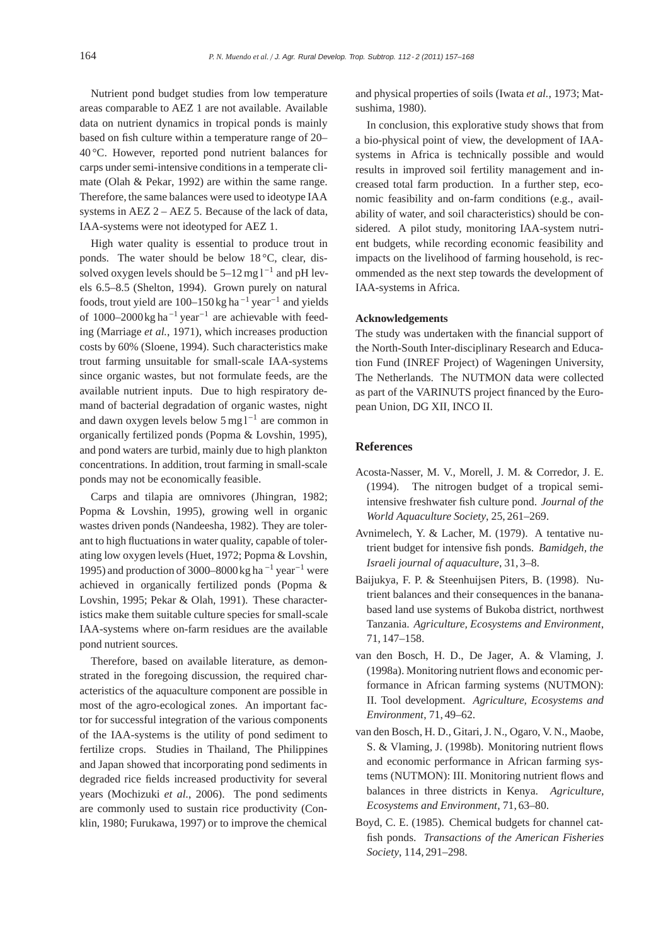Nutrient pond budget studies from low temperature areas comparable to AEZ 1 are not available. Available data on nutrient dynamics in tropical ponds is mainly based on fish culture within a temperature range of 20– 40 °C. However, reported pond nutrient balances for carps under semi-intensive conditions in a temperate climate (Olah & Pekar, 1992) are within the same range. Therefore, the same balances were used to ideotype IAA systems in AEZ 2 – AEZ 5. Because of the lack of data, IAA-systems were not ideotyped for AEZ 1.

High water quality is essential to produce trout in ponds. The water should be below 18 °C, clear, dissolved oxygen levels should be  $5-12$  mg l<sup>-1</sup> and pH levels 6.5–8.5 (Shelton, 1994). Grown purely on natural foods, trout yield are  $100-150$  kg ha<sup>-1</sup> year<sup>-1</sup> and yields of 1000–2000 kg ha<sup>-1</sup> year<sup>-1</sup> are achievable with feeding (Marriage *et al.*, 1971), which increases production costs by 60% (Sloene, 1994). Such characteristics make trout farming unsuitable for small-scale IAA-systems since organic wastes, but not formulate feeds, are the available nutrient inputs. Due to high respiratory demand of bacterial degradation of organic wastes, night and dawn oxygen levels below 5 mg l−<sup>1</sup> are common in organically fertilized ponds (Popma & Lovshin, 1995), and pond waters are turbid, mainly due to high plankton concentrations. In addition, trout farming in small-scale ponds may not be economically feasible.

Carps and tilapia are omnivores (Jhingran, 1982; Popma & Lovshin, 1995), growing well in organic wastes driven ponds (Nandeesha, 1982). They are tolerant to high fluctuations in water quality, capable of tolerating low oxygen levels (Huet, 1972; Popma & Lovshin, 1995) and production of 3000–8000 kg ha<sup> $-1$ </sup> year<sup>-1</sup> were achieved in organically fertilized ponds (Popma & Lovshin, 1995; Pekar & Olah, 1991). These characteristics make them suitable culture species for small-scale IAA-systems where on-farm residues are the available pond nutrient sources.

Therefore, based on available literature, as demonstrated in the foregoing discussion, the required characteristics of the aquaculture component are possible in most of the agro-ecological zones. An important factor for successful integration of the various components of the IAA-systems is the utility of pond sediment to fertilize crops. Studies in Thailand, The Philippines and Japan showed that incorporating pond sediments in degraded rice fields increased productivity for several years (Mochizuki *et al.*, 2006). The pond sediments are commonly used to sustain rice productivity (Conklin, 1980; Furukawa, 1997) or to improve the chemical

and physical properties of soils (Iwata *et al.*, 1973; Matsushima, 1980).

In conclusion, this explorative study shows that from a bio-physical point of view, the development of IAAsystems in Africa is technically possible and would results in improved soil fertility management and increased total farm production. In a further step, economic feasibility and on-farm conditions (e.g., availability of water, and soil characteristics) should be considered. A pilot study, monitoring IAA-system nutrient budgets, while recording economic feasibility and impacts on the livelihood of farming household, is recommended as the next step towards the development of IAA-systems in Africa.

# **Acknowledgements**

The study was undertaken with the financial support of the North-South Inter-disciplinary Research and Education Fund (INREF Project) of Wageningen University, The Netherlands. The NUTMON data were collected as part of the VARINUTS project financed by the European Union, DG XII, INCO II.

## **References**

- Acosta-Nasser, M. V., Morell, J. M. & Corredor, J. E. (1994). The nitrogen budget of a tropical semiintensive freshwater fish culture pond. *Journal of the World Aquaculture Society*, 25, 261–269.
- Avnimelech, Y. & Lacher, M. (1979). A tentative nutrient budget for intensive fish ponds. *Bamidgeh, the Israeli journal of aquaculture*, 31, 3–8.
- Baijukya, F. P. & Steenhuijsen Piters, B. (1998). Nutrient balances and their consequences in the bananabased land use systems of Bukoba district, northwest Tanzania. *Agriculture, Ecosystems and Environment*, 71, 147–158.
- van den Bosch, H. D., De Jager, A. & Vlaming, J. (1998a). Monitoring nutrient flows and economic performance in African farming systems (NUTMON): II. Tool development. *Agriculture, Ecosystems and Environment*, 71, 49–62.
- van den Bosch, H. D., Gitari, J. N., Ogaro, V. N., Maobe, S. & Vlaming, J. (1998b). Monitoring nutrient flows and economic performance in African farming systems (NUTMON): III. Monitoring nutrient flows and balances in three districts in Kenya. *Agriculture, Ecosystems and Environment*, 71, 63–80.
- Boyd, C. E. (1985). Chemical budgets for channel catfish ponds. *Transactions of the American Fisheries Society*, 114, 291–298.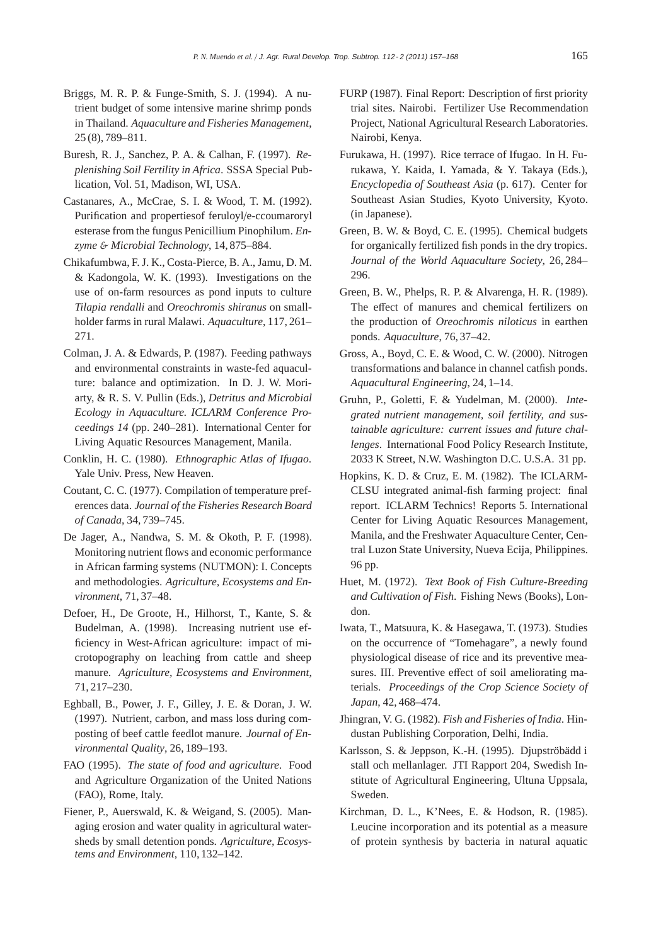- Briggs, M. R. P. & Funge-Smith, S. J. (1994). A nutrient budget of some intensive marine shrimp ponds in Thailand. *Aquaculture and Fisheries Management*, 25 (8), 789–811.
- Buresh, R. J., Sanchez, P. A. & Calhan, F. (1997). *Replenishing Soil Fertility in Africa*. SSSA Special Publication, Vol. 51, Madison, WI, USA.
- Castanares, A., McCrae, S. I. & Wood, T. M. (1992). Purification and propertiesof feruloyl/e-ccoumaroryl esterase from the fungus Penicillium Pinophilum. *Enzyme* & *Microbial Technology*, 14, 875–884.
- Chikafumbwa, F. J. K., Costa-Pierce, B. A., Jamu, D. M. & Kadongola, W. K. (1993). Investigations on the use of on-farm resources as pond inputs to culture *Tilapia rendalli* and *Oreochromis shiranus* on smallholder farms in rural Malawi. *Aquaculture*, 117, 261– 271.
- Colman, J. A. & Edwards, P. (1987). Feeding pathways and environmental constraints in waste-fed aquaculture: balance and optimization. In D. J. W. Moriarty, & R. S. V. Pullin (Eds.), *Detritus and Microbial Ecology in Aquaculture. ICLARM Conference Proceedings 14* (pp. 240–281). International Center for Living Aquatic Resources Management, Manila.
- Conklin, H. C. (1980). *Ethnographic Atlas of Ifugao*. Yale Univ. Press, New Heaven.
- Coutant, C. C. (1977). Compilation of temperature preferences data. *Journal of the Fisheries Research Board of Canada*, 34, 739–745.
- De Jager, A., Nandwa, S. M. & Okoth, P. F. (1998). Monitoring nutrient flows and economic performance in African farming systems (NUTMON): I. Concepts and methodologies. *Agriculture, Ecosystems and Environment*, 71, 37–48.
- Defoer, H., De Groote, H., Hilhorst, T., Kante, S. & Budelman, A. (1998). Increasing nutrient use efficiency in West-African agriculture: impact of microtopography on leaching from cattle and sheep manure. *Agriculture, Ecosystems and Environment*, 71, 217–230.
- Eghball, B., Power, J. F., Gilley, J. E. & Doran, J. W. (1997). Nutrient, carbon, and mass loss during composting of beef cattle feedlot manure. *Journal of Environmental Quality*, 26, 189–193.
- FAO (1995). *The state of food and agriculture*. Food and Agriculture Organization of the United Nations (FAO), Rome, Italy.
- Fiener, P., Auerswald, K. & Weigand, S. (2005). Managing erosion and water quality in agricultural watersheds by small detention ponds. *Agriculture, Ecosystems and Environment*, 110, 132–142.
- FURP (1987). Final Report: Description of first priority trial sites. Nairobi. Fertilizer Use Recommendation Project, National Agricultural Research Laboratories. Nairobi, Kenya.
- Furukawa, H. (1997). Rice terrace of Ifugao. In H. Furukawa, Y. Kaida, I. Yamada, & Y. Takaya (Eds.), *Encyclopedia of Southeast Asia* (p. 617). Center for Southeast Asian Studies, Kyoto University, Kyoto. (in Japanese).
- Green, B. W. & Boyd, C. E. (1995). Chemical budgets for organically fertilized fish ponds in the dry tropics. *Journal of the World Aquaculture Society*, 26, 284– 296.
- Green, B. W., Phelps, R. P. & Alvarenga, H. R. (1989). The effect of manures and chemical fertilizers on the production of *Oreochromis niloticus* in earthen ponds. *Aquaculture*, 76, 37–42.
- Gross, A., Boyd, C. E. & Wood, C. W. (2000). Nitrogen transformations and balance in channel catfish ponds. *Aquacultural Engineering*, 24, 1–14.
- Gruhn, P., Goletti, F. & Yudelman, M. (2000). *Integrated nutrient management, soil fertility, and sustainable agriculture: current issues and future challenges*. International Food Policy Research Institute, 2033 K Street, N.W. Washington D.C. U.S.A. 31 pp.
- Hopkins, K. D. & Cruz, E. M. (1982). The ICLARM-CLSU integrated animal-fish farming project: final report. ICLARM Technics! Reports 5. International Center for Living Aquatic Resources Management, Manila, and the Freshwater Aquaculture Center, Central Luzon State University, Nueva Ecija, Philippines. 96 pp.
- Huet, M. (1972). *Text Book of Fish Culture-Breeding and Cultivation of Fish*. Fishing News (Books), London.
- Iwata, T., Matsuura, K. & Hasegawa, T. (1973). Studies on the occurrence of "Tomehagare", a newly found physiological disease of rice and its preventive measures. III. Preventive effect of soil ameliorating materials. *Proceedings of the Crop Science Society of Japan*, 42, 468–474.
- Jhingran, V. G. (1982). *Fish and Fisheries of India*. Hindustan Publishing Corporation, Delhi, India.
- Karlsson, S. & Jeppson, K.-H. (1995). Djupströbädd i stall och mellanlager. JTI Rapport 204, Swedish Institute of Agricultural Engineering, Ultuna Uppsala, Sweden.
- Kirchman, D. L., K'Nees, E. & Hodson, R. (1985). Leucine incorporation and its potential as a measure of protein synthesis by bacteria in natural aquatic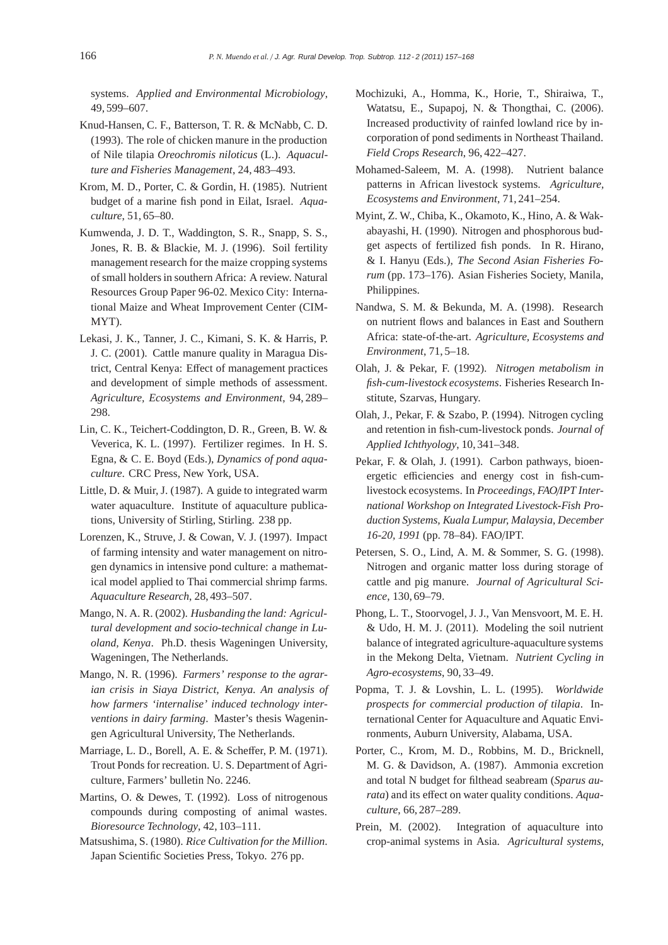systems. *Applied and Environmental Microbiology*, 49, 599–607.

- Knud-Hansen, C. F., Batterson, T. R. & McNabb, C. D. (1993). The role of chicken manure in the production of Nile tilapia *Oreochromis niloticus* (L.). *Aquaculture and Fisheries Management*, 24, 483–493.
- Krom, M. D., Porter, C. & Gordin, H. (1985). Nutrient budget of a marine fish pond in Eilat, Israel. *Aquaculture*, 51, 65–80.
- Kumwenda, J. D. T., Waddington, S. R., Snapp, S. S., Jones, R. B. & Blackie, M. J. (1996). Soil fertility management research for the maize cropping systems of small holders in southern Africa: A review. Natural Resources Group Paper 96-02. Mexico City: International Maize and Wheat Improvement Center (CIM-MYT).
- Lekasi, J. K., Tanner, J. C., Kimani, S. K. & Harris, P. J. C. (2001). Cattle manure quality in Maragua District, Central Kenya: Effect of management practices and development of simple methods of assessment. *Agriculture, Ecosystems and Environment*, 94, 289– 298.
- Lin, C. K., Teichert-Coddington, D. R., Green, B. W. & Veverica, K. L. (1997). Fertilizer regimes. In H. S. Egna, & C. E. Boyd (Eds.), *Dynamics of pond aquaculture*. CRC Press, New York, USA.
- Little, D. & Muir, J. (1987). A guide to integrated warm water aquaculture. Institute of aquaculture publications, University of Stirling, Stirling. 238 pp.
- Lorenzen, K., Struve, J. & Cowan, V. J. (1997). Impact of farming intensity and water management on nitrogen dynamics in intensive pond culture: a mathematical model applied to Thai commercial shrimp farms. *Aquaculture Research*, 28, 493–507.
- Mango, N. A. R. (2002). *Husbanding the land: Agricultural development and socio-technical change in Luoland, Kenya*. Ph.D. thesis Wageningen University, Wageningen, The Netherlands.
- Mango, N. R. (1996). *Farmers' response to the agrarian crisis in Siaya District, Kenya. An analysis of how farmers 'internalise' induced technology interventions in dairy farming*. Master's thesis Wageningen Agricultural University, The Netherlands.
- Marriage, L. D., Borell, A. E. & Scheffer, P. M. (1971). Trout Ponds for recreation. U. S. Department of Agriculture, Farmers' bulletin No. 2246.
- Martins, O. & Dewes, T. (1992). Loss of nitrogenous compounds during composting of animal wastes. *Bioresource Technology*, 42, 103–111.
- Matsushima, S. (1980). *Rice Cultivation for the Million*. Japan Scientific Societies Press, Tokyo. 276 pp.
- Mochizuki, A., Homma, K., Horie, T., Shiraiwa, T., Watatsu, E., Supapoj, N. & Thongthai, C. (2006). Increased productivity of rainfed lowland rice by incorporation of pond sediments in Northeast Thailand. *Field Crops Research*, 96, 422–427.
- Mohamed-Saleem, M. A. (1998). Nutrient balance patterns in African livestock systems. *Agriculture, Ecosystems and Environment*, 71, 241–254.
- Myint, Z. W., Chiba, K., Okamoto, K., Hino, A. & Wakabayashi, H. (1990). Nitrogen and phosphorous budget aspects of fertilized fish ponds. In R. Hirano, & I. Hanyu (Eds.), *The Second Asian Fisheries Forum* (pp. 173–176). Asian Fisheries Society, Manila, Philippines.
- Nandwa, S. M. & Bekunda, M. A. (1998). Research on nutrient flows and balances in East and Southern Africa: state-of-the-art. *Agriculture, Ecosystems and Environment*, 71, 5–18.
- Olah, J. & Pekar, F. (1992). *Nitrogen metabolism in fish-cum-livestock ecosystems*. Fisheries Research Institute, Szarvas, Hungary.
- Olah, J., Pekar, F. & Szabo, P. (1994). Nitrogen cycling and retention in fish-cum-livestock ponds. *Journal of Applied Ichthyology*, 10, 341–348.
- Pekar, F. & Olah, J. (1991). Carbon pathways, bioenergetic efficiencies and energy cost in fish-cumlivestock ecosystems. In *Proceedings, FAO*/*IPT International Workshop on Integrated Livestock-Fish Production Systems, Kuala Lumpur, Malaysia, December 16-20, 1991* (pp. 78–84). FAO/IPT.
- Petersen, S. O., Lind, A. M. & Sommer, S. G. (1998). Nitrogen and organic matter loss during storage of cattle and pig manure. *Journal of Agricultural Science*, 130, 69–79.
- Phong, L. T., Stoorvogel, J. J., Van Mensvoort, M. E. H. & Udo, H. M. J. (2011). Modeling the soil nutrient balance of integrated agriculture-aquaculture systems in the Mekong Delta, Vietnam. *Nutrient Cycling in Agro-ecosystems*, 90, 33–49.
- Popma, T. J. & Lovshin, L. L. (1995). *Worldwide prospects for commercial production of tilapia*. International Center for Aquaculture and Aquatic Environments, Auburn University, Alabama, USA.
- Porter, C., Krom, M. D., Robbins, M. D., Bricknell, M. G. & Davidson, A. (1987). Ammonia excretion and total N budget for filthead seabream (*Sparus aurata*) and its effect on water quality conditions. *Aquaculture*, 66, 287–289.
- Prein, M. (2002). Integration of aquaculture into crop-animal systems in Asia. *Agricultural systems*,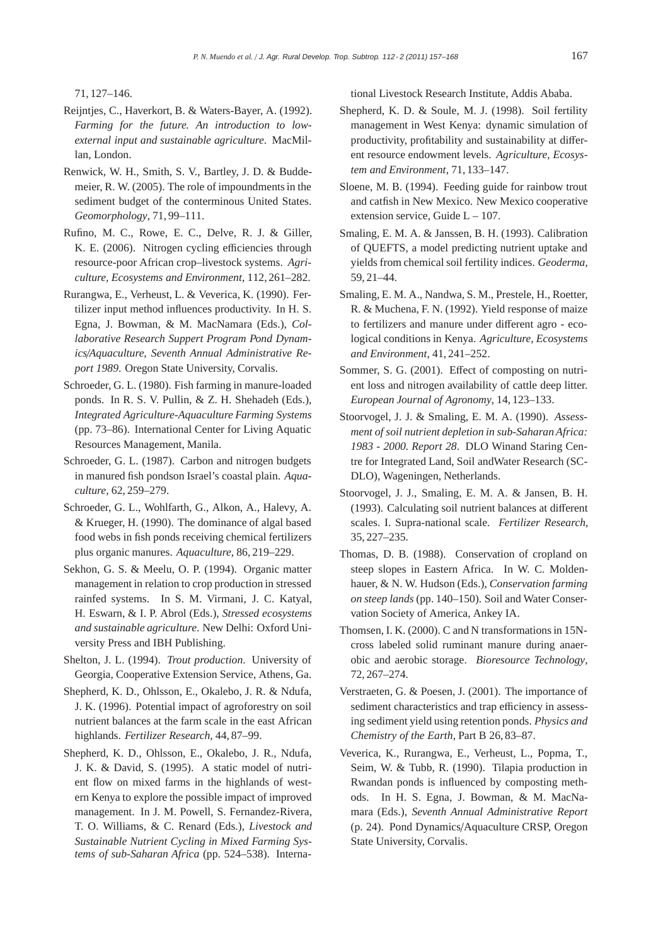71, 127–146.

- Reijntjes, C., Haverkort, B. & Waters-Bayer, A. (1992). *Farming for the future. An introduction to lowexternal input and sustainable agriculture*. MacMillan, London.
- Renwick, W. H., Smith, S. V., Bartley, J. D. & Buddemeier, R. W. (2005). The role of impoundments in the sediment budget of the conterminous United States. *Geomorphology*, 71, 99–111.
- Rufino, M. C., Rowe, E. C., Delve, R. J. & Giller, K. E. (2006). Nitrogen cycling efficiencies through resource-poor African crop–livestock systems. *Agriculture, Ecosystems and Environment*, 112, 261–282.
- Rurangwa, E., Verheust, L. & Veverica, K. (1990). Fertilizer input method influences productivity. In H. S. Egna, J. Bowman, & M. MacNamara (Eds.), *Collaborative Research Suppert Program Pond Dynamics*/*Aquaculture, Seventh Annual Administrative Report 1989*. Oregon State University, Corvalis.
- Schroeder, G. L. (1980). Fish farming in manure-loaded ponds. In R. S. V. Pullin, & Z. H. Shehadeh (Eds.), *Integrated Agriculture-Aquaculture Farming Systems* (pp. 73–86). International Center for Living Aquatic Resources Management, Manila.
- Schroeder, G. L. (1987). Carbon and nitrogen budgets in manured fish pondson Israel's coastal plain. *Aquaculture*, 62, 259–279.
- Schroeder, G. L., Wohlfarth, G., Alkon, A., Halevy, A. & Krueger, H. (1990). The dominance of algal based food webs in fish ponds receiving chemical fertilizers plus organic manures. *Aquaculture*, 86, 219–229.
- Sekhon, G. S. & Meelu, O. P. (1994). Organic matter management in relation to crop production in stressed rainfed systems. In S. M. Virmani, J. C. Katyal, H. Eswarn, & I. P. Abrol (Eds.), *Stressed ecosystems and sustainable agriculture*. New Delhi: Oxford University Press and IBH Publishing.
- Shelton, J. L. (1994). *Trout production*. University of Georgia, Cooperative Extension Service, Athens, Ga.
- Shepherd, K. D., Ohlsson, E., Okalebo, J. R. & Ndufa, J. K. (1996). Potential impact of agroforestry on soil nutrient balances at the farm scale in the east African highlands. *Fertilizer Research*, 44, 87–99.
- Shepherd, K. D., Ohlsson, E., Okalebo, J. R., Ndufa, J. K. & David, S. (1995). A static model of nutrient flow on mixed farms in the highlands of western Kenya to explore the possible impact of improved management. In J. M. Powell, S. Fernandez-Rivera, T. O. Williams, & C. Renard (Eds.), *Livestock and Sustainable Nutrient Cycling in Mixed Farming Systems of sub-Saharan Africa* (pp. 524–538). Interna-

tional Livestock Research Institute, Addis Ababa.

- Shepherd, K. D. & Soule, M. J. (1998). Soil fertility management in West Kenya: dynamic simulation of productivity, profitability and sustainability at different resource endowment levels. *Agriculture, Ecosystem and Environment*, 71, 133–147.
- Sloene, M. B. (1994). Feeding guide for rainbow trout and catfish in New Mexico. New Mexico cooperative extension service, Guide  $L - 107$ .
- Smaling, E. M. A. & Janssen, B. H. (1993). Calibration of QUEFTS, a model predicting nutrient uptake and yields from chemical soil fertility indices. *Geoderma*, 59, 21–44.
- Smaling, E. M. A., Nandwa, S. M., Prestele, H., Roetter, R. & Muchena, F. N. (1992). Yield response of maize to fertilizers and manure under different agro - ecological conditions in Kenya. *Agriculture, Ecosystems and Environment*, 41, 241–252.
- Sommer, S. G. (2001). Effect of composting on nutrient loss and nitrogen availability of cattle deep litter. *European Journal of Agronomy*, 14, 123–133.
- Stoorvogel, J. J. & Smaling, E. M. A. (1990). *Assessment of soil nutrient depletion in sub-Saharan Africa: 1983 - 2000. Report 28*. DLO Winand Staring Centre for Integrated Land, Soil andWater Research (SC-DLO), Wageningen, Netherlands.
- Stoorvogel, J. J., Smaling, E. M. A. & Jansen, B. H. (1993). Calculating soil nutrient balances at different scales. I. Supra-national scale. *Fertilizer Research*, 35, 227–235.
- Thomas, D. B. (1988). Conservation of cropland on steep slopes in Eastern Africa. In W. C. Moldenhauer, & N. W. Hudson (Eds.), *Conservation farming on steep lands* (pp. 140–150). Soil and Water Conservation Society of America, Ankey IA.
- Thomsen, I. K. (2000). C and N transformations in 15Ncross labeled solid ruminant manure during anaerobic and aerobic storage. *Bioresource Technology*, 72, 267–274.
- Verstraeten, G. & Poesen, J. (2001). The importance of sediment characteristics and trap efficiency in assessing sediment yield using retention ponds. *Physics and Chemistry of the Earth*, Part B 26, 83–87.
- Veverica, K., Rurangwa, E., Verheust, L., Popma, T., Seim, W. & Tubb, R. (1990). Tilapia production in Rwandan ponds is influenced by composting methods. In H. S. Egna, J. Bowman, & M. MacNamara (Eds.), *Seventh Annual Administrative Report* (p. 24). Pond Dynamics/Aquaculture CRSP, Oregon State University, Corvalis.